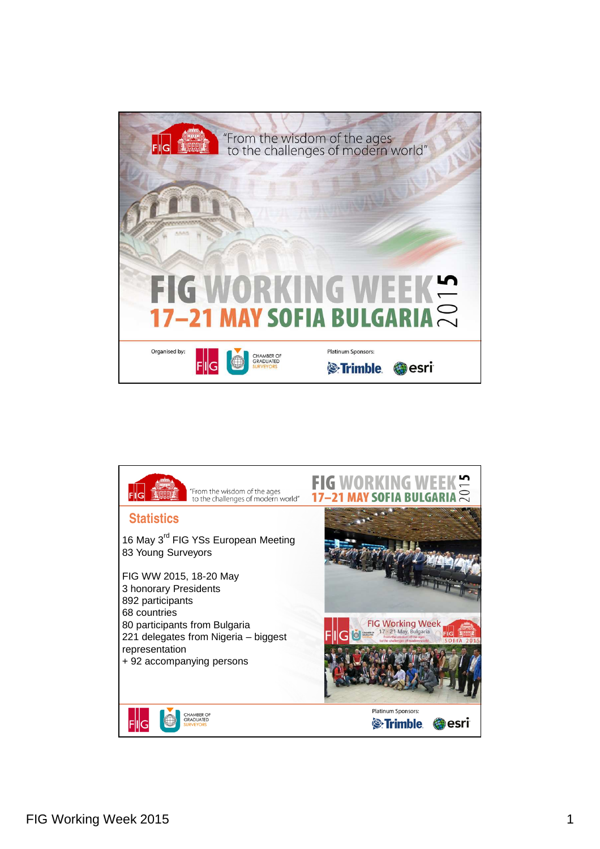

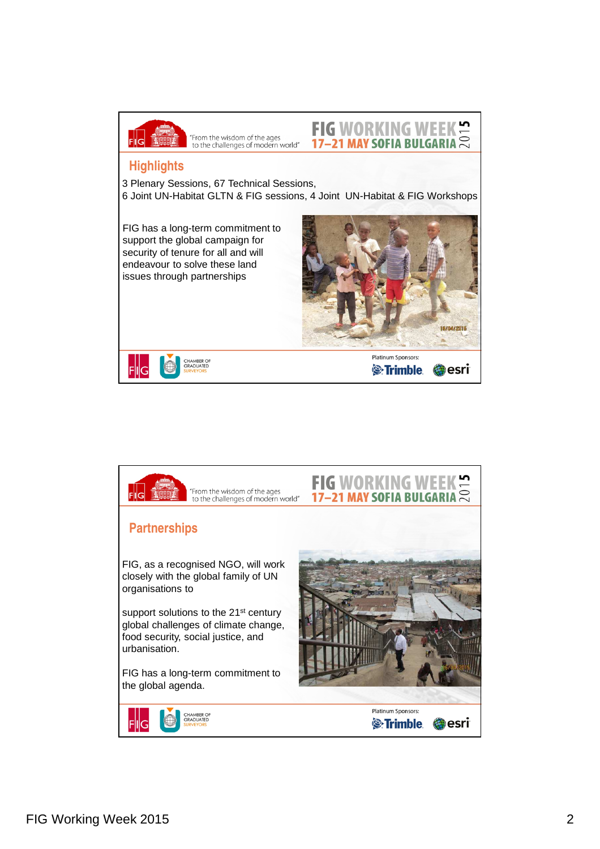

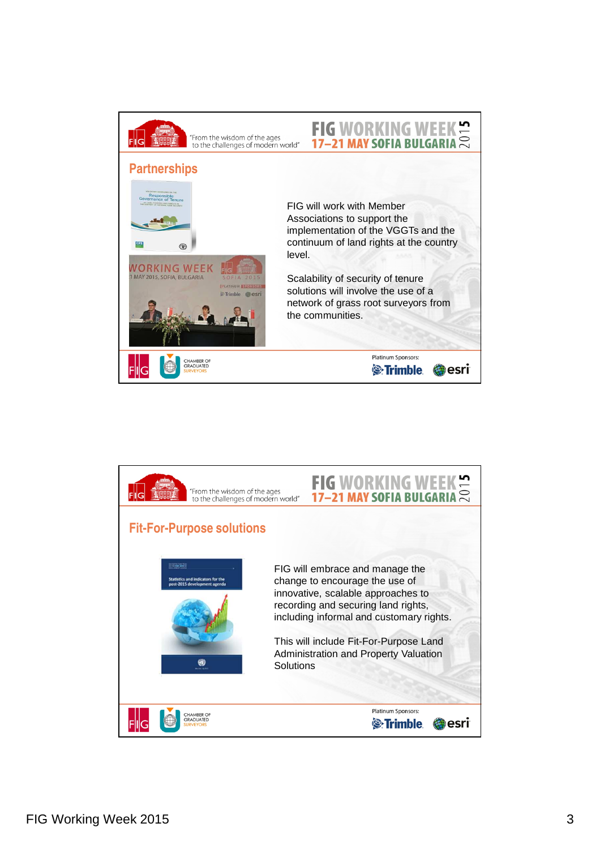

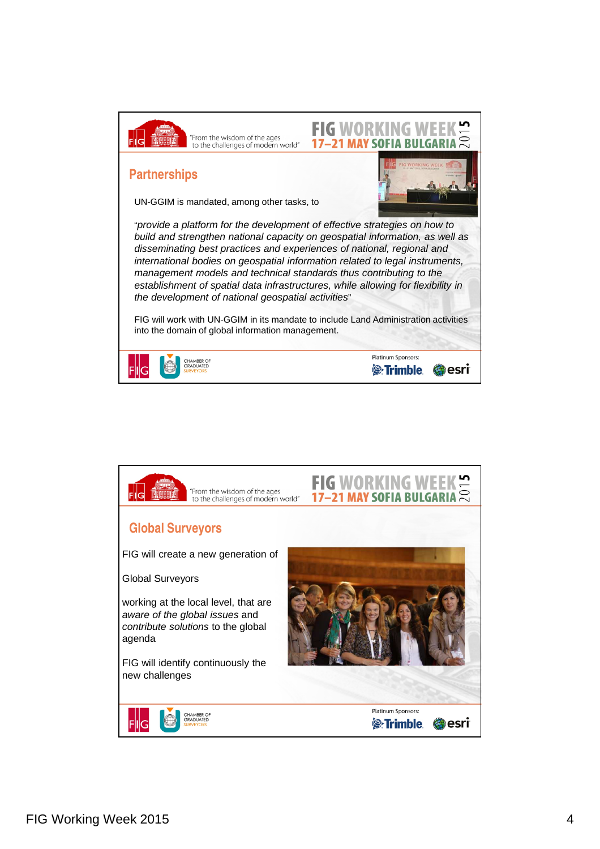

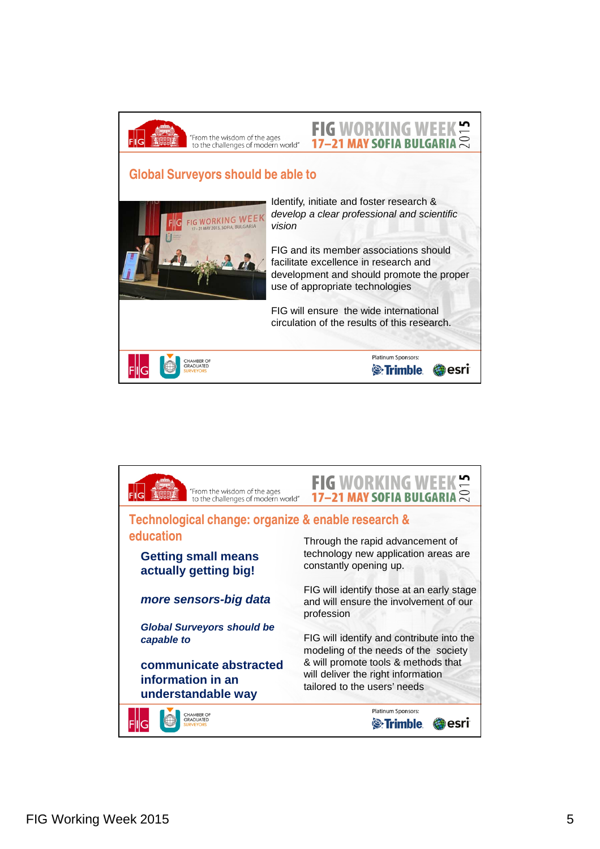

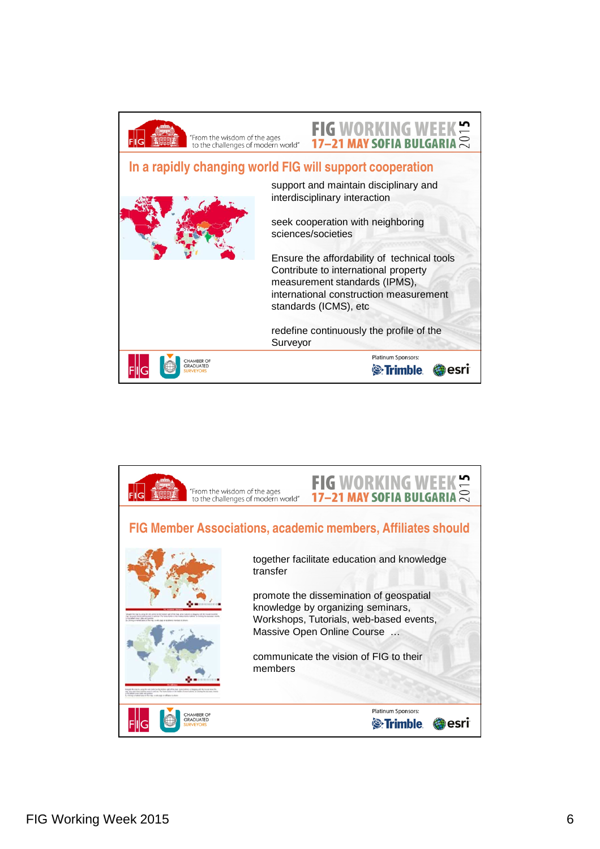

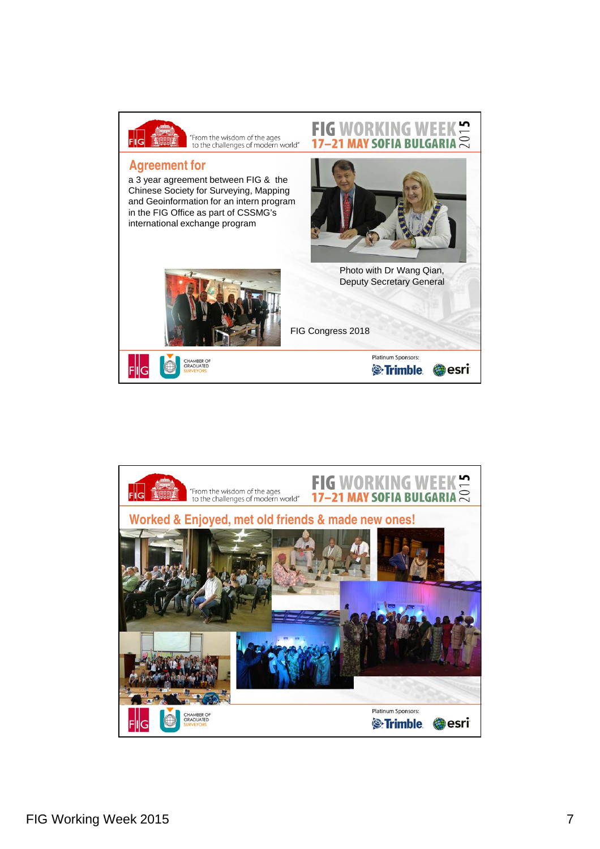